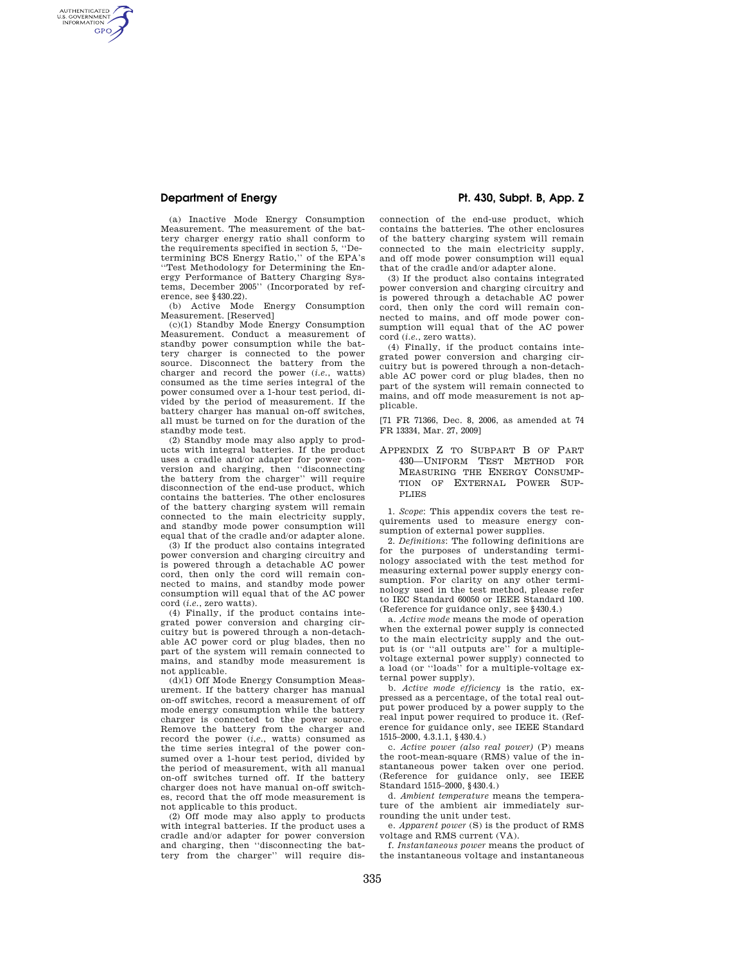AUTHENTICATED<br>U.S. GOVERNMENT<br>INFORMATION **GPO** 

> (a) Inactive Mode Energy Consumption Measurement. The measurement of the battery charger energy ratio shall conform to the requirements specified in section 5, ''Determining BCS Energy Ratio,'' of the EPA's ''Test Methodology for Determining the Energy Performance of Battery Charging Systems, December 2005'' (Incorporated by reference, see §430.22).

(b) Active Mode Energy Consumption Measurement. [Reserved]

(c)(1) Standby Mode Energy Consumption Measurement. Conduct a measurement of standby power consumption while the battery charger is connected to the power source. Disconnect the battery from the charger and record the power (*i.e.*, watts) consumed as the time series integral of the power consumed over a 1-hour test period, divided by the period of measurement. If the battery charger has manual on-off switches, all must be turned on for the duration of the standby mode test.

(2) Standby mode may also apply to products with integral batteries. If the product uses a cradle and/or adapter for power conversion and charging, then ''disconnecting the battery from the charger'' will require disconnection of the end-use product, which contains the batteries. The other enclosures of the battery charging system will remain connected to the main electricity supply, and standby mode power consumption will equal that of the cradle and/or adapter alone.

(3) If the product also contains integrated power conversion and charging circuitry and is powered through a detachable AC power cord, then only the cord will remain connected to mains, and standby mode power consumption will equal that of the AC power cord (*i.e.*, zero watts).

(4) Finally, if the product contains integrated power conversion and charging circuitry but is powered through a non-detachable AC power cord or plug blades, then no part of the system will remain connected to mains, and standby mode measurement is not applicable.

(d)(1) Off Mode Energy Consumption Measurement. If the battery charger has manual on-off switches, record a measurement of off mode energy consumption while the battery charger is connected to the power source. Remove the battery from the charger and record the power (*i.e.*, watts) consumed as the time series integral of the power consumed over a 1-hour test period, divided by the period of measurement, with all manual on-off switches turned off. If the battery charger does not have manual on-off switches, record that the off mode measurement is not applicable to this product.

(2) Off mode may also apply to products with integral batteries. If the product uses a cradle and/or adapter for power conversion and charging, then ''disconnecting the battery from the charger'' will require dis-

## **Department of Energy Pt. 430, Subpt. B, App. Z**

connection of the end-use product, which contains the batteries. The other enclosures of the battery charging system will remain connected to the main electricity supply, and off mode power consumption will equal that of the cradle and/or adapter alone.

(3) If the product also contains integrated power conversion and charging circuitry and is powered through a detachable AC power cord, then only the cord will remain connected to mains, and off mode power consumption will equal that of the AC power cord (*i.e.*, zero watts).

(4) Finally, if the product contains integrated power conversion and charging circuitry but is powered through a non-detachable AC power cord or plug blades, then no part of the system will remain connected to mains, and off mode measurement is not applicable.

[71 FR 71366, Dec. 8, 2006, as amended at 74 FR 13334, Mar. 27, 2009]

APPENDIX Z TO SUBPART B OF PART 430—UNIFORM TEST METHOD FOR MEASURING THE ENERGY CONSUMP-TION OF EXTERNAL POWER SUP-PLIES

1. *Scope*: This appendix covers the test requirements used to measure energy consumption of external power supplies.

2. *Definitions*: The following definitions are for the purposes of understanding terminology associated with the test method for measuring external power supply energy consumption. For clarity on any other terminology used in the test method, please refer to IEC Standard 60050 or IEEE Standard 100. (Reference for guidance only, see §430.4.)

a. *Active mode* means the mode of operation when the external power supply is connected to the main electricity supply and the output is (or ''all outputs are'' for a multiplevoltage external power supply) connected to a load (or ''loads'' for a multiple-voltage external power supply).

b. *Active mode efficiency* is the ratio, expressed as a percentage, of the total real output power produced by a power supply to the real input power required to produce it. (Reference for guidance only, see IEEE Standard 1515–2000, 4.3.1.1, §430.4.)

c. *Active power (also real power)* (P) means the root-mean-square (RMS) value of the instantaneous power taken over one period. (Reference for guidance only, see IEEE Standard 1515–2000, §430.4.)

d. *Ambient temperature* means the temperature of the ambient air immediately surrounding the unit under test.

e. *Apparent power* (S) is the product of RMS voltage and RMS current (VA).

f. *Instantaneous power* means the product of the instantaneous voltage and instantaneous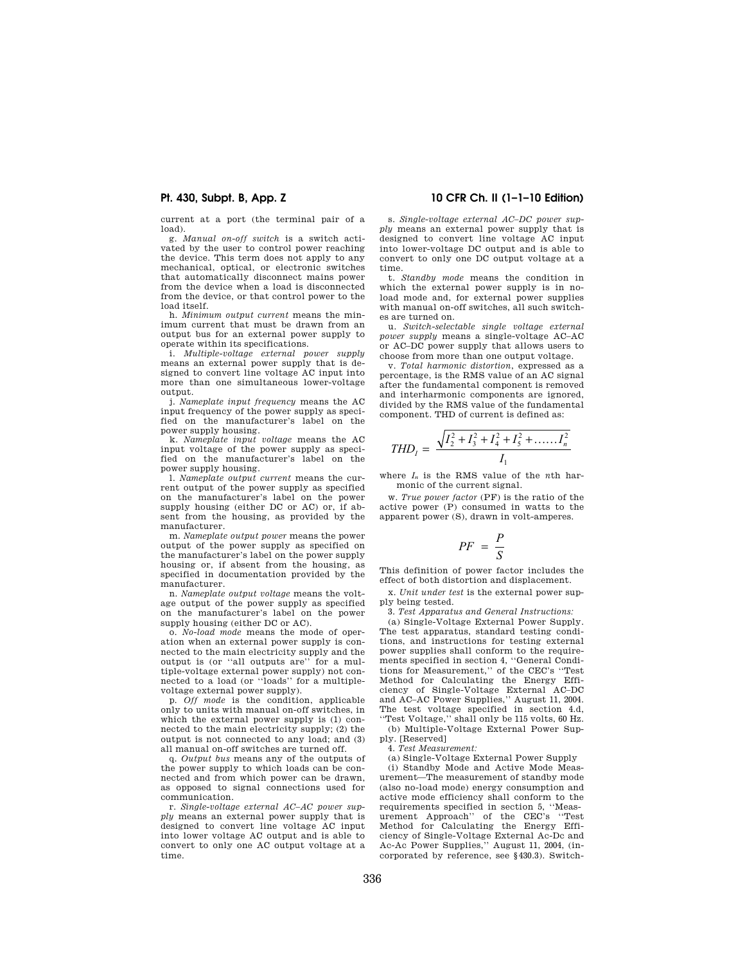current at a port (the terminal pair of a load).

g. *Manual on-off switch* is a switch activated by the user to control power reaching the device. This term does not apply to any mechanical, optical, or electronic switches that automatically disconnect mains power from the device when a load is disconnected from the device, or that control power to the load itself.

h. *Minimum output current* means the minimum current that must be drawn from an output bus for an external power supply to operate within its specifications.

i. *Multiple-voltage external power supply*  means an external power supply that is designed to convert line voltage AC input into more than one simultaneous lower-voltage output.

j. *Nameplate input frequency* means the AC input frequency of the power supply as specified on the manufacturer's label on the power supply housing.

k. *Nameplate input voltage* means the AC input voltage of the power supply as specified on the manufacturer's label on the power supply housing.

l. *Nameplate output current* means the current output of the power supply as specified on the manufacturer's label on the power supply housing (either DC or AC) or, if absent from the housing, as provided by the manufacturer.

m. *Nameplate output power* means the power output of the power supply as specified on the manufacturer's label on the power supply housing or, if absent from the housing, as specified in documentation provided by the manufacturer.

n. *Nameplate output voltage* means the voltage output of the power supply as specified on the manufacturer's label on the power supply housing (either DC or AC).

o. *No-load mode* means the mode of operation when an external power supply is connected to the main electricity supply and the output is (or ''all outputs are'' for a multiple-voltage external power supply) not connected to a load (or ''loads'' for a multiplevoltage external power supply).

p. *Off mode* is the condition, applicable only to units with manual on-off switches, in which the external power supply is (1) connected to the main electricity supply; (2) the output is not connected to any load; and (3) all manual on-off switches are turned off.

q. *Output bus* means any of the outputs of the power supply to which loads can be connected and from which power can be drawn, as opposed to signal connections used for communication.

r. *Single-voltage external AC–AC power supply* means an external power supply that is designed to convert line voltage AC input into lower voltage AC output and is able to convert to only one AC output voltage at a time.

## **Pt. 430, Subpt. B, App. Z 10 CFR Ch. II (1–1–10 Edition)**

s. *Single-voltage external AC–DC power supply* means an external power supply that is designed to convert line voltage AC input into lower-voltage DC output and is able to convert to only one DC output voltage at a time.

t. *Standby mode* means the condition in which the external power supply is in noload mode and, for external power supplies with manual on-off switches, all such switches are turned on.

u. *Switch-selectable single voltage external power supply* means a single-voltage AC–AC or AC–DC power supply that allows users to choose from more than one output voltage.

v. *Total harmonic distortion*, expressed as a percentage, is the RMS value of an AC signal after the fundamental component is removed and interharmonic components are ignored, divided by the RMS value of the fundamental component. THD of current is defined as:

$$
THD_1 = \frac{\sqrt{I_2^2 + I_3^2 + I_4^2 + I_5^2 + \dots + I_n^2}}{I_1}
$$

where *I<sup>n</sup>* is the RMS value of the *n*th harmonic of the current signal.

w. *True power factor* (PF) is the ratio of the active power (P) consumed in watts to the apparent power (S), drawn in volt-amperes.

$$
PF = \frac{P}{S}
$$

This definition of power factor includes the effect of both distortion and displacement.

x. *Unit under test* is the external power supply being tested.

3. *Test Apparatus and General Instructions:* 

(a) Single-Voltage External Power Supply. The test apparatus, standard testing conditions, and instructions for testing external power supplies shall conform to the requirements specified in section 4, ''General Conditions for Measurement,'' of the CEC's ''Test Method for Calculating the Energy Efficiency of Single-Voltage External AC–DC and AC–AC Power Supplies,'' August 11, 2004. The test voltage specified in section 4.d, ''Test Voltage,'' shall only be 115 volts, 60 Hz.

(b) Multiple-Voltage External Power Supply. [Reserved]

4. *Test Measurement:* 

(a) Single-Voltage External Power Supply

(i) Standby Mode and Active Mode Measurement—The measurement of standby mode (also no-load mode) energy consumption and active mode efficiency shall conform to the requirements specified in section 5, ''Measurement Approach'' of the CEC's ''Test Method for Calculating the Energy Efficiency of Single-Voltage External Ac-Dc and Ac-Ac Power Supplies,'' August 11, 2004, (incorporated by reference, see §430.3). Switch-